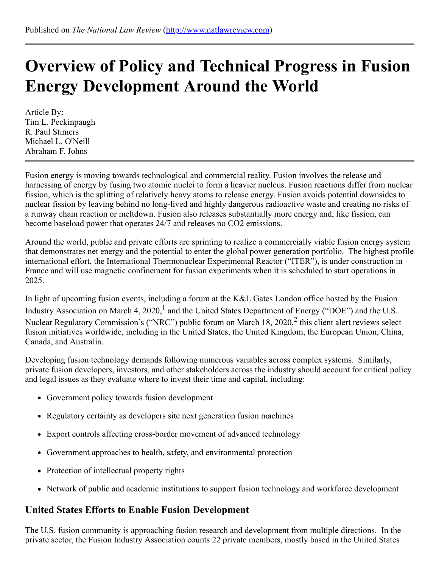# Overview of Policy and Technical Progress in Fusion Energy Development Around the World

Article By: Tim L. Peckinpaugh R. Paul Stimers Michael L. O'Neill Abraham F. Johns

Fusion energy is moving towards technological and commercial reality. Fusion involves the release and harnessing of energy by fusing two atomic nuclei to form a heavier nucleus. Fusion reactions differ from nuclear fission, which is the splitting of relatively heavy atoms to release energy. Fusion avoids potential downsides to nuclear fission by leaving behind no long-lived and highly dangerous radioactive waste and creating no risks of a runway chain reaction or meltdown. Fusion also releases substantially more energy and, like fission, can become baseload power that operates 24/7 and releases no CO2 emissions.

Around the world, public and private efforts are sprinting to realize a commercially viable fusion energy system that demonstrates net energy and the potential to enter the global power generation portfolio. The highest profile international effort, the International Thermonuclear Experimental Reactor ("ITER"), is under construction in France and will use magnetic confinement for fusion experiments when it is scheduled to start operations in 2025.

In light of upcoming fusion events, including a forum at the K&L Gates London office hosted by the Fusion Industry Association on March 4, 2020,<sup>1</sup> and the United States Department of Energy ("DOE") and the U.S. Nuclear Regulatory Commission's ("NRC") public forum on March 18, 2020,<sup>2</sup> this client alert reviews select fusion initiatives worldwide, including in the United States, the United Kingdom, the European Union, China, Canada, and Australia.

Developing fusion technology demands following numerous variables across complex systems. Similarly, private fusion developers, investors, and other stakeholders across the industry should account for critical policy and legal issues as they evaluate where to invest their time and capital, including:

- Government policy towards fusion development
- Regulatory certainty as developers site next generation fusion machines
- Export controls affecting cross-border movement of advanced technology
- Government approaches to health, safety, and environmental protection
- Protection of intellectual property rights
- Network of public and academic institutions to support fusion technology and workforce development

#### United States Efforts to Enable Fusion Development

The U.S. fusion community is approaching fusion research and development from multiple directions. In the private sector, the Fusion Industry Association counts 22 private members, mostly based in the United States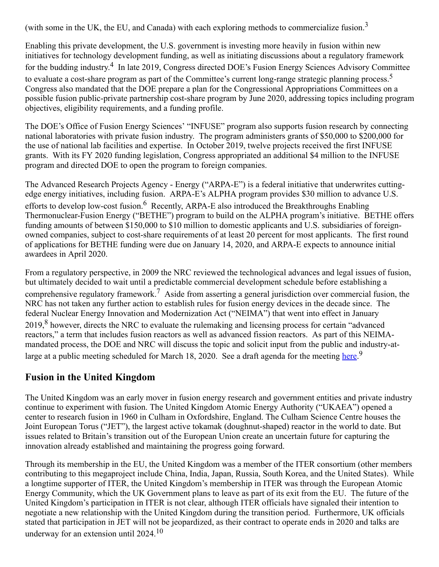(with some in the UK, the EU, and Canada) with each exploring methods to commercialize fusion.<sup>3</sup>

Enabling this private development, the U.S. government is investing more heavily in fusion within new initiatives for technology development funding, as well as initiating discussions about a regulatory framework for the budding industry.<sup>4</sup> In late 2019, Congress directed DOE's Fusion Energy Sciences Advisory Committee to evaluate a cost-share program as part of the Committee's current long-range strategic planning process.<sup>5</sup> Congress also mandated that the DOE prepare a plan for the Congressional Appropriations Committees on a possible fusion public-private partnership cost-share program by June 2020, addressing topics including program objectives, eligibility requirements, and a funding profile.

The DOE's Office of Fusion Energy Sciences' "INFUSE" program also supports fusion research by connecting national laboratories with private fusion industry. The program administers grants of \$50,000 to \$200,000 for the use of national lab facilities and expertise. In October 2019, twelve projects received the first INFUSE grants. With its FY 2020 funding legislation, Congress appropriated an additional \$4 million to the INFUSE program and directed DOE to open the program to foreign companies.

The Advanced Research Projects Agency - Energy ("ARPA-E") is a federal initiative that underwrites cuttingedge energy initiatives, including fusion. ARPA-E's ALPHA program provides \$30 million to advance U.S. efforts to develop low-cost fusion.<sup>6</sup> Recently, ARPA-E also introduced the Breakthroughs Enabling Thermonuclear-Fusion Energy ("BETHE") program to build on the ALPHA program's initiative. BETHE offers funding amounts of between \$150,000 to \$10 million to domestic applicants and U.S. subsidiaries of foreignowned companies, subject to cost-share requirements of at least 20 percent for most applicants. The first round of applications for BETHE funding were due on January 14, 2020, and ARPA-E expects to announce initial awardees in April 2020.

From a regulatory perspective, in 2009 the NRC reviewed the technological advances and legal issues of fusion, but ultimately decided to wait until a predictable commercial development schedule before establishing a comprehensive regulatory framework.<sup>7</sup> Aside from asserting a general jurisdiction over commercial fusion, the NRC has not taken any further action to establish rules for fusion energy devices in the decade since. The federal Nuclear Energy Innovation and Modernization Act ("NEIMA") that went into effect in January 2019,<sup>8</sup> however, directs the NRC to evaluate the rulemaking and licensing process for certain "advanced reactors," a term that includes fusion reactors as well as advanced fission reactors. As part of this NEIMAmandated process, the DOE and NRC will discuss the topic and solicit input from the public and industry-atlarge at a public meeting scheduled for March 18, 2020. See a draft agenda for the meeting [here.](https://science.osti.gov/-/media/fes/pdf/2020/NRC_Agenda_20200318.pdf?la=en&hash=16A1BECE6143F92019A1A315E12E6DB1056C6CC1)<sup>9</sup>

#### Fusion in the United Kingdom

The United Kingdom was an early mover in fusion energy research and government entities and private industry continue to experiment with fusion. The United Kingdom Atomic Energy Authority ("UKAEA") opened a center to research fusion in 1960 in Culham in Oxfordshire, England. The Culham Science Centre houses the Joint European Torus ("JET"), the largest active tokamak (doughnut-shaped) reactor in the world to date. But issues related to Britain's transition out of the European Union create an uncertain future for capturing the innovation already established and maintaining the progress going forward.

Through its membership in the EU, the United Kingdom was a member of the ITER consortium (other members contributing to this megaproject include China, India, Japan, Russia, South Korea, and the United States). While a longtime supporter of ITER, the United Kingdom's membership in ITER was through the European Atomic Energy Community, which the UK Government plans to leave as part of its exit from the EU. The future of the United Kingdom's participation in ITER is not clear, although ITER officials have signaled their intention to negotiate a new relationship with the United Kingdom during the transition period. Furthermore, UK officials stated that participation in JET will not be jeopardized, as their contract to operate ends in 2020 and talks are underway for an extension until 2024.<sup>10</sup>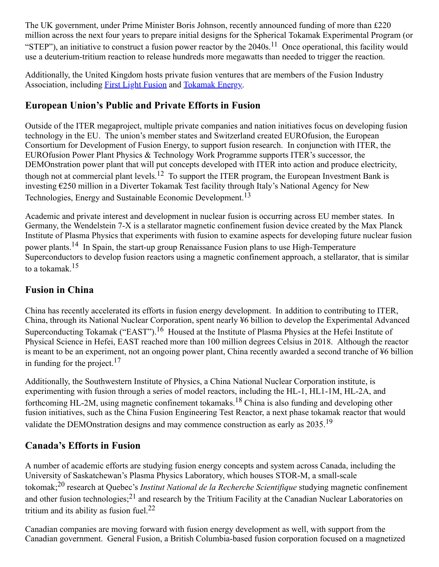The UK government, under Prime Minister Boris Johnson, recently announced funding of more than £220 million across the next four years to prepare initial designs for the Spherical Tokamak Experimental Program (or "STEP"), an initiative to construct a fusion power reactor by the  $2040s$ .<sup>11</sup> Once operational, this facility would use a deuterium-tritium reaction to release hundreds more megawatts than needed to trigger the reaction.

Additionally, the United Kingdom hosts private fusion ventures that are members of the Fusion Industry Association, including [First Light Fusion](https://firstlightfusion.com/) and [Tokamak Energy.](https://www.tokamakenergy.co.uk/)

## European Union's Public and Private Efforts in Fusion

Outside of the ITER megaproject, multiple private companies and nation initiatives focus on developing fusion technology in the EU. The union's member states and Switzerland created EUROfusion, the European Consortium for Development of Fusion Energy, to support fusion research. In conjunction with ITER, the EUROfusion Power Plant Physics & Technology Work Programme supports ITER's successor, the DEMOnstration power plant that will put concepts developed with ITER into action and produce electricity, though not at commercial plant levels.<sup>12</sup> To support the ITER program, the European Investment Bank is investing €250 million in a Diverter Tokamak Test facility through Italy's National Agency for New Technologies, Energy and Sustainable Economic Development.<sup>13</sup>

Academic and private interest and development in nuclear fusion is occurring across EU member states. In Germany, the Wendelstein 7-X is a stellarator magnetic confinement fusion device created by the Max Planck Institute of Plasma Physics that experiments with fusion to examine aspects for developing future nuclear fusion power plants.<sup>14</sup> In Spain, the start-up group Renaissance Fusion plans to use High-Temperature Superconductors to develop fusion reactors using a magnetic confinement approach, a stellarator, that is similar to a tokamak.<sup>15</sup>

## Fusion in China

China has recently accelerated its efforts in fusion energy development. In addition to contributing to ITER, China, through its National Nuclear Corporation, spent nearly ¥6 billion to develop the Experimental Advanced Superconducting Tokamak ("EAST").<sup>16</sup> Housed at the Institute of Plasma Physics at the Hefei Institute of Physical Science in Hefei, EAST reached more than 100 million degrees Celsius in 2018. Although the reactor is meant to be an experiment, not an ongoing power plant, China recently awarded a second tranche of ¥6 billion in funding for the project.<sup>17</sup>

Additionally, the Southwestern Institute of Physics, a China National Nuclear Corporation institute, is experimenting with fusion through a series of model reactors, including the HL-1, HL1-1M, HL-2A, and forthcoming HL-2M, using magnetic confinement tokamaks.<sup>18</sup> China is also funding and developing other fusion initiatives, such as the China Fusion Engineering Test Reactor, a next phase tokamak reactor that would validate the DEMOnstration designs and may commence construction as early as 2035.<sup>19</sup>

## Canada's Efforts in Fusion

A number of academic efforts are studying fusion energy concepts and system across Canada, including the University of Saskatchewan's Plasma Physics Laboratory, which houses STOR-M, a small-scale tokomak;<sup>20</sup> research at Quebec's *Institut National de la Recherche Scientifique* studying magnetic confinement and other fusion technologies;<sup>21</sup> and research by the Tritium Facility at the Canadian Nuclear Laboratories on tritium and its ability as fusion fuel. $^{22}$ 

Canadian companies are moving forward with fusion energy development as well, with support from the Canadian government. General Fusion, a British Columbia-based fusion corporation focused on a magnetized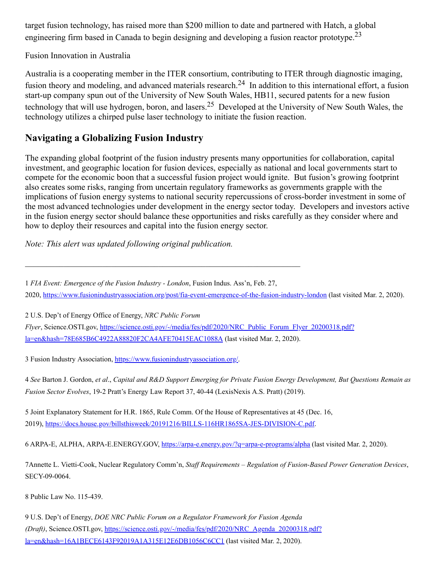target fusion technology, has raised more than \$200 million to date and partnered with Hatch, a global engineering firm based in Canada to begin designing and developing a fusion reactor prototype.<sup>23</sup>

Fusion Innovation in Australia

Australia is a cooperating member in the ITER consortium, contributing to ITER through diagnostic imaging, fusion theory and modeling, and advanced materials research.<sup>24</sup> In addition to this international effort, a fusion start-up company spun out of the University of New South Wales, HB11, secured patents for a new fusion technology that will use hydrogen, boron, and lasers.<sup>25</sup> Developed at the University of New South Wales, the technology utilizes a chirped pulse laser technology to initiate the fusion reaction.

#### Navigating a Globalizing Fusion Industry

The expanding global footprint of the fusion industry presents many opportunities for collaboration, capital investment, and geographic location for fusion devices, especially as national and local governments start to compete for the economic boon that a successful fusion project would ignite. But fusion's growing footprint also creates some risks, ranging from uncertain regulatory frameworks as governments grapple with the implications of fusion energy systems to national security repercussions of cross-border investment in some of the most advanced technologies under development in the energy sector today. Developers and investors active in the fusion energy sector should balance these opportunities and risks carefully as they consider where and how to deploy their resources and capital into the fusion energy sector.

*Note: This alert was updated following original publication.*

 $\mathcal{L}_\text{max}$  , and the contribution of the contribution of the contribution of the contribution of the contribution of the contribution of the contribution of the contribution of the contribution of the contribution of t

1 *FIA Event: Emergence of the Fusion Industry - London*, Fusion Indus. Ass'n, Feb. 27, 2020, <https://www.fusionindustryassociation.org/post/fia-event-emergence-of-the-fusion-industry-london> (last visited Mar. 2, 2020).

2 U.S. Dep't of Energy Office of Energy, *NRC Public Forum*

*Flyer*, Science.OSTI.gov, [https://science.osti.gov/-/media/fes/pdf/2020/NRC\\_Public\\_Forum\\_Flyer\\_20200318.pdf?](https://science.osti.gov/-/media/fes/pdf/2020/NRC_Public_Forum_Flyer_20200318.pdf?la=en&hash=78E685B6C4922A88820F2CA4AFE70415EAC1088A) la=en&hash=78E685B6C4922A88820F2CA4AFE70415EAC1088A (last visited Mar. 2, 2020).

3 Fusion Industry Association, <https://www.fusionindustryassociation.org/>.

4 See Barton J. Gordon, et al., Capital and R&D Support Emerging for Private Fusion Energy Development, But Questions Remain as *Fusion Sector Evolves*, 19-2 Pratt's Energy Law Report 37, 40-44 (LexisNexis A.S. Pratt) (2019).

5 Joint Explanatory Statement for H.R. 1865, Rule Comm. Of the House of Representatives at 45 (Dec. 16, 2019), [https://docs.house.gov/billsthisweek/20191216/BILLS-116HR1865SA-JES-DIVISION-C.pdf.](https://docs.house.gov/billsthisweek/20191216/BILLS-116HR1865SA-JES-DIVISION-C.pdf)

6 ARPA-E, ALPHA, ARPA-E.ENERGY.GOV, <https://arpa-e.energy.gov/?q=arpa-e-programs/alpha> (last visited Mar. 2, 2020).

7Annette L. Vietti-Cook, Nuclear Regulatory Comm'n, *Staf Requirements – Regulation of Fusion-Based Power Generation Devices*, SECY-09-0064.

8 Public Law No. 115-439.

9 U.S. Dep't of Energy, *DOE NRC Public Forum on a Regulator Framework for Fusion Agenda (Draft)*, Science.OSTI.gov, [https://science.osti.gov/-/media/fes/pdf/2020/NRC\\_Agenda\\_20200318.pdf?](https://science.osti.gov/-/media/fes/pdf/2020/NRC_Agenda_20200318.pdf?la=en&hash=16A1BECE6143F92019A1A315E12E6DB1056C6CC1) la=en&hash=16A1BECE6143F92019A1A315E12E6DB1056C6CC1 (last visited Mar. 2, 2020).